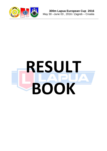

# **RESULT BOOK**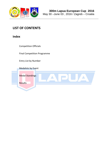

# **LIST OF CONTENTS**

**Index**

Competition Officials

Final Competition Programme

Entry List by Number

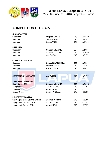

# **COMPETITION OFFICIALS**

| <b>JURY OF APPEAL</b>                  |                            |            |               |
|----------------------------------------|----------------------------|------------|---------------|
| Chairman                               | <b>Dragutin VRBEK</b>      | <b>CRO</b> | A 4139        |
| Member                                 | <b>Tomislav SEPEC</b>      | <b>CRO</b> | A 616         |
| Member                                 | <b>Biserka VRBEK</b>       | <b>CRO</b> | A 3761        |
| <b>RIFLE JURY</b>                      |                            |            |               |
| Chairman                               | <b>Branko SMILJANIC</b>    | <b>GER</b> | A 5096        |
| Member                                 | Dubravko STRUKIC           | <b>CRO</b> | A 2450        |
| Member                                 | Ivan CVITAK                | <b>CRO</b> | B 3177        |
| <b>CLASSIFICATION JURY</b>             |                            |            |               |
| Chairman                               | <b>Branka LOVRECEK-FAJ</b> | <b>CRO</b> | A 790         |
| Member                                 | Jadranka STRUKIC           | <b>CRO</b> | A 3191        |
| Member                                 | <b>Brigita ZDENJAK</b>     | <b>CRO</b> | B 2453        |
|                                        |                            |            |               |
| <b>COMPETITION MANAGER</b>             | <b>Ivan CVITAK</b>         | <b>CRO</b> | <b>B</b> 3177 |
| <b>300m SHOOTING RANGE</b>             |                            |            |               |
| <b>Chief Range Officer</b>             | <b>Branko SMILJANIC</b>    | <b>CRO</b> | A 5096        |
| <b>Range Officer</b>                   | <b>Ivica KURTOVIC</b>      | <b>CRO</b> | C 1191        |
| Range Officer                          | <b>Antun SUDAR</b>         | <b>CRO</b> | C 1327        |
| Range Officer                          | <b>Kresimir VRKLJAN</b>    | <b>CRO</b> | C 1380        |
| <b>EQUIPMENT CONTROL</b>               |                            |            |               |
| <b>Chief Equipment Control Officer</b> | <b>Kresimir VRKLJAN</b>    | <b>CRO</b> | C 1380        |
| <b>Equipment Control Officer</b>       | Ivica KURTOVIC             | <b>CRO</b> | C 1191        |
| <b>Equipment Control Officer</b>       | <b>Antun SUDAR</b>         | <b>CRO</b> | C 1327        |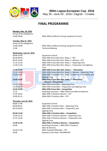

May 30 –June 03 , 2016 / Zagreb – Croatia

# **FINAL PROGRAMME**

#### **Monday, May 30, 2016**

Arrival of the Delegations

14:00-18:00 300m Rifle Unofficial Training, Equipment Control

#### **Tuesday, May 31, 2016**

Arrival of the Delegations 15:00 Technical Meeting

14:00-18:00 300m Rifle Unofficial Training, Equipment Control

#### **Wednesday, June 01, 2016**

## **11:45-12:45 300m Rifle Prone Men Elim. Relay 1 – Elimination**

#### 15:15-15:30 15:30-15:45 **15:45-16:45 300m Rifle Prone Men - Competition** 17:45-18:45 19:00-20:15

## **Thursday, June 02, 2016**

| 08:00-19:00 | <b>Equipment Control</b>                                              |
|-------------|-----------------------------------------------------------------------|
| 08:30-09:30 | 300m Rifle Prone Men Elim. Relay 1 - PET                              |
| 09:45-10:45 | 300m Rifle Prone Men Elim. Relay 2 + Women - PET                      |
| 11:15-11:30 | 300m Rifle Prone Men Elim. Relay 1 - Reporting Time                   |
| 11:30-11:45 | 300m Rifle Prone Men Elim. Relay 1 - Preparation and Sighting<br>Time |
| 11:45-12:45 | 300m Rifle Prone Men Elim. Relay 1 - Elimination                      |
| 13:15-13:30 | 300m Rifle Prone Men Elim. Relay 2 + Women - Reporting Time           |
| 13:30-13:45 | 300m Rifle Prone Men Elim. Relay 2 + Women - Preparation and          |
|             | <b>Sighting Time</b>                                                  |
| 13:45-14:45 | 300m Rifle Prone Men Elim. Relay 2 - Elimination                      |
|             | + Women - Competition                                                 |
| 15:15-15:30 | 300m Rifle Prone Men - Reporting Time                                 |
| 15:30-15:45 | 300m Rifle Prone Men - Preparation and Sighting Time                  |
| 15:45-16:45 | 300m Rifle Prone Men - Competition                                    |
| 17:15       | Awarding Ceremony - 300m Rifle Prone (Men & Women)                    |
| 17:45-18:45 | 300m Rifle 3 Positions Women - PET                                    |
| 19:00-20:15 | 300m Rifle 3 Positions Men - PET                                      |

#### 08:00-17:00 Equipment Control 09:00-09:15 300m Rifle 3 Positions Men – Reporting Time 09:15-09:30 300m Rifle 3 Positions Men – Preparation and Sighting Time **09:30-12:30 300m Rifle 3 Positions Men – Competition** 13.00-13:15 300m Rifle 3 Positions Women – Reporting Time 13:15-13:30 300m Rifle 3 Positions Women – Preparation and Sighting Time **13.30-15:30 300m Rifle 3 Positions Women – Competition** 16:00 Awarding Ceremony – 300m Rifle 3 Positions (Men & Women) 16:30-17:30 300m Standard Rifle Men – PET 20:00 Banquet at the Hotel "DELMINIVM"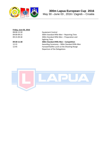

# **Friday, June 03, 2016** 08:00-12:30 Equipment Control

09:00-09:15 300m Standard Rifle Men – Reporting Time 09:15-09.30 300m Standard Rifle Men – Preparation and Sighting Time **09:30-11:30 300m Standard Rifle Men – Competition** 12:15 Awarding Ceremony – 300m Standard Rifle Men 12:45 Farewell Buffet Lunch at the Shooting Range Departure of the Delegations

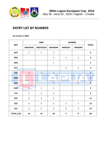

# **ENTRY LIST BY NUMBER**

#### **As of June 3, 2016**

|                   |                | <b>MEN</b>     |                         | <b>WOMEN</b>            |                | <b>TOTAL</b>            |  |
|-------------------|----------------|----------------|-------------------------|-------------------------|----------------|-------------------------|--|
| <b>NAT</b>        | 300FR3X40      | 300STR3X20     | <b>300FR60PR</b>        | 300R3X20                | 300R60PR       |                         |  |
| <b>AUT</b>        | $\mathbf{1}$   | $\mathbf 1$    | $\overline{2}$          |                         |                | $\overline{\mathbf{4}}$ |  |
| <b>CRO</b>        |                |                | $\overline{2}$          | $\mathbf 1$             | $\mathbf 1$    | $\overline{\mathbf{4}}$ |  |
| <b>DEN</b>        |                |                | $\mathbf 1$             |                         |                | $\mathbf{1}$            |  |
| <b>EST</b>        |                |                |                         | $\overline{2}$          | $\overline{2}$ | $\overline{\mathbf{4}}$ |  |
| <b>FIN</b>        | $\mathbf 1$    | $\mathbf{1}$   | $\mathbf{1}$            |                         |                | $\overline{\mathbf{3}}$ |  |
| <b>GBR</b>        |                |                | $\overline{2}$          |                         | $\mathbf{1}$   | $\overline{\mathbf{3}}$ |  |
| <b>GER</b>        | $\mathbf{1}$   |                | $\overline{\mathbf{3}}$ |                         | $\mathbf{1}$   | 5                       |  |
| <b>HUN</b>        | $\mathbf{1}$   | $\mathbf 1$    | $\mathbf 1$             |                         |                | 3                       |  |
| <b>ITA</b>        | $\mathbf{1}$   | $\overline{3}$ | $\mathbf{1}$            |                         |                | 5                       |  |
| <b>POL</b>        | $\mathbf{3}$   | $\mathbf{3}$   | 5                       |                         |                | 11                      |  |
| <b>SLO</b>        | $\overline{3}$ | 3              | 5                       | $\mathbf{1}$            | $\mathbf{1}$   | 13                      |  |
| SUI               | $\overline{2}$ | $\overline{2}$ | 3                       | $\mathbf{3}$            | $\mathbf{3}$   | 13                      |  |
| <b>TOTAL (12)</b> | 13             | 14             | 26                      | $\overline{\mathbf{z}}$ | 9              | 69                      |  |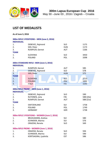

# **LIST OF MEDALISTS**

**As of June 3, 2016**

| <b>INDIVIDUAL</b> | 300m RIFLE 3 POSITIONS - MEN (June 2, 2016)   |            |           |  |  |  |  |  |  |  |
|-------------------|-----------------------------------------------|------------|-----------|--|--|--|--|--|--|--|
| 1.                | DEBEVEC, Rajmond                              | <b>SLO</b> | 1175      |  |  |  |  |  |  |  |
| 2.                | SIDI, Peter                                   | <b>HUN</b> | 1173      |  |  |  |  |  |  |  |
| 3.                | RUMPLER, Gernot                               | <b>AUT</b> | 1166      |  |  |  |  |  |  |  |
| <b>TEAM</b>       |                                               |            |           |  |  |  |  |  |  |  |
| 1.                | <b>SLOVENIA</b>                               | <b>SLO</b> | 3450      |  |  |  |  |  |  |  |
| 2.                | <b>POLAND</b>                                 | POL        | 3398      |  |  |  |  |  |  |  |
|                   |                                               |            |           |  |  |  |  |  |  |  |
| <b>INDIVIDUAL</b> | 300m STANDARD RIFLE-MEN (June 3, 2016)        |            |           |  |  |  |  |  |  |  |
| 1.                | RUMPLER, Gernot                               | <b>AUT</b> | 585       |  |  |  |  |  |  |  |
| 2.                | DEBEVEC, Rajmond                              | <b>SLO</b> | 578       |  |  |  |  |  |  |  |
| 3.                | SIDI, Peter                                   | <b>HUN</b> | 575       |  |  |  |  |  |  |  |
| <b>TEAM</b>       |                                               |            |           |  |  |  |  |  |  |  |
| 1.                | <b>SLOVENIA</b>                               | <b>SLO</b> | 1713      |  |  |  |  |  |  |  |
| 2.                | <b>POLAND</b>                                 | POL        | 1692      |  |  |  |  |  |  |  |
| 3.                | <b>ITALY</b>                                  | <b>ITA</b> | 1545      |  |  |  |  |  |  |  |
|                   |                                               |            |           |  |  |  |  |  |  |  |
|                   | 300m RIFLE PRONE - MEN (June 1, 2016)         |            |           |  |  |  |  |  |  |  |
| <b>INDIVIDUAL</b> |                                               |            |           |  |  |  |  |  |  |  |
| 1.                | DEBEVEC, Rajmond                              | <b>SLO</b> | 590       |  |  |  |  |  |  |  |
| 2.                | RUTONEN, Juha                                 | <b>FIN</b> | 588 (24x) |  |  |  |  |  |  |  |
| 3.                | RUMPLER, Gernot                               | <b>AUT</b> | 588 (21x) |  |  |  |  |  |  |  |
| <b>TEAM</b>       |                                               |            |           |  |  |  |  |  |  |  |
| 1.                | SWITZERLAND                                   | SUI        | 1758      |  |  |  |  |  |  |  |
| 2.                | <b>POLAND</b>                                 | POL        | 1749      |  |  |  |  |  |  |  |
| 3.                | <b>GERMANY</b>                                | <b>GER</b> | 1738      |  |  |  |  |  |  |  |
|                   |                                               |            |           |  |  |  |  |  |  |  |
|                   | 300m RIFLE 3 POSITIONS - WOMEN (June 2, 2016) |            |           |  |  |  |  |  |  |  |
| 1.                | <b>BRUHLMANN, Andrea</b>                      | SUI        | 580       |  |  |  |  |  |  |  |
| 2.                | <b>SCHNIDER, Marina</b>                       | SUI        | 576       |  |  |  |  |  |  |  |
| 3.                | ORAZEM, Renata                                | <b>SLO</b> | 569       |  |  |  |  |  |  |  |
|                   | 300m RIFLE PRONE - WOMEN (June 1, 2016)       |            |           |  |  |  |  |  |  |  |
| 1.                | ORAZEM, Renata                                | <b>SLO</b> | 594       |  |  |  |  |  |  |  |
| 2.                | SCHNIDER, Marina                              | SUI        | 590       |  |  |  |  |  |  |  |
| 3.                | KORTSAGINA, Ljudmila                          | <b>EST</b> | 586       |  |  |  |  |  |  |  |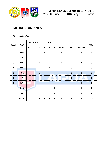

# **MEDAL STANDINGS**

**As of June 3, 2016**

|                         |              |                | <b>INDIVIDUAL</b> |                |                         | <b>TEAM</b>             |                |                | <b>TOTAL</b>            |                |                         |
|-------------------------|--------------|----------------|-------------------|----------------|-------------------------|-------------------------|----------------|----------------|-------------------------|----------------|-------------------------|
| <b>RANK</b>             | <b>NAT</b>   | G              | $\mathsf{S}$      | $\mathbf B$    | G                       | $\mathsf{s}$            | B              | <b>GOLD</b>    | <b>SILVER</b>           | <b>BRONZE</b>  | <b>TOTAL</b>            |
| $\mathbf{1}$            | <b>SLO</b>   | $\overline{3}$ | $\mathbf{1}$      | $\mathbf{1}$   | $\overline{2}$          |                         |                | $5\phantom{a}$ | $\mathbf{1}$            | $\mathbf{1}$   | $\overline{\mathbf{z}}$ |
| $\overline{2}$          | <b>SUI</b>   | $\mathbf{1}$   | $\overline{2}$    |                | $\mathbf{1}$            |                         |                | $\overline{2}$ | $\overline{2}$          |                | 4                       |
| $\overline{\mathbf{3}}$ | <b>AUT</b>   | $\mathbf{1}$   |                   | $\overline{2}$ |                         |                         |                | $\mathbf{1}$   |                         | $\overline{2}$ | $\overline{\mathbf{3}}$ |
| $\overline{\mathbf{4}}$ | <b>POL</b>   |                |                   |                |                         | 3                       |                |                | $\overline{\mathbf{3}}$ |                | $\overline{\mathbf{3}}$ |
| 5                       | <b>HUN</b>   |                | $\mathbf{1}$      | $\mathbf{1}$   |                         |                         |                |                | 1                       | 1              | $\overline{2}$          |
| $6\phantom{1}6$         | <b>FIN</b>   |                | $\overline{1}$    |                |                         |                         |                |                | $\mathbf{1}$            | А              | $\mathbf{1}$            |
| $\overline{7}$          | <b>EST</b>   |                |                   | $\mathbf{1}$   |                         |                         |                |                |                         | $\mathbf{1}$   | $\mathbf{1}$            |
|                         | <b>GER</b>   |                |                   |                |                         |                         | $\mathbf{1}$   |                |                         | $\mathbf{1}$   | $\mathbf{1}$            |
|                         | <b>ITA</b>   |                |                   |                |                         |                         | $\mathbf{1}$   |                |                         | $\mathbf{1}$   | $\mathbf{1}$            |
|                         | <b>TOTAL</b> | 5 <sup>5</sup> | 5                 | 5              | $\overline{\mathbf{3}}$ | $\overline{\mathbf{3}}$ | $\overline{2}$ | 8              | 8                       | 7              | 23                      |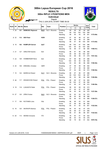#### **300m RIFLE 3 POSITIONS MEN RESULTS**

**Individual**



|  |  |  |  | Zagreb |  |  |  |  |
|--|--|--|--|--------|--|--|--|--|
|  |  |  |  |        |  |  |  |  |

**Artist** 

THU 2 JUN 2016, START TIME 09:30

|       |                 |                      |                          |            |                |                 | <b>Series</b> |                         | Sub |                |              |          |
|-------|-----------------|----------------------|--------------------------|------------|----------------|-----------------|---------------|-------------------------|-----|----------------|--------------|----------|
| Rankl | FP              | <b>Bib No   Name</b> |                          | Nat        | Team           | <b>Position</b> | $\mathbf{1}$  | $\overline{\mathbf{c}}$ | 3   | $\overline{4}$ | <b>Total</b> | Total    |
|       | 125             | 121                  | <b>DEBEVEC Rajmond</b>   | <b>SLO</b> | SLO - Slovenia | Kneeling        | 99            | 99                      | 98  | 99             | 395          |          |
|       |                 |                      |                          |            |                | Prone           | 99            | 100                     | 100 | 100            | 399          |          |
|       |                 |                      |                          |            |                | Standing        | 98            | 95                      | 93  | 95             | 381          | 1175-49x |
|       | 2 2 2           | 112                  | <b>SIDI Peter</b>        | <b>HUN</b> |                | Kneeling        | 97            | 99                      | 98  | 97             | 391          |          |
|       |                 |                      |                          |            |                | Prone           | 98            | 95                      | 98  | 97             | 388          |          |
|       |                 |                      |                          |            |                | Standing        | 99            | 97                      | 98  | 100            | 394          | 1173-45x |
|       |                 |                      |                          |            |                |                 |               |                         |     |                |              |          |
|       | 3 <sub>18</sub> | 102                  | <b>RUMPLER Gernot</b>    | <b>AUT</b> |                | Kneeling        | 99            | 100                     | 97  | 100            | 396          |          |
|       |                 |                      |                          |            |                | Prone           | 100           | 95                      | 95  | 100            | 390          |          |
|       |                 |                      |                          |            |                | Standing        | 94            | 96                      | 91  | 99             | 380          | 1166-41x |
|       | 4 21            | 127                  | <b>GREUTER Sandro</b>    | SUI        |                | Kneeling        | 96            | 97                      | 96  | 96             | 385          |          |
|       |                 |                      |                          |            |                | Prone           | 99            | 99                      | 99  | 100            | 397          |          |
|       |                 |                      |                          |            |                | Standing        | 94            | 98                      | 96  | 91             | 379          | 1161-32x |
|       | 5 23            | 128                  | <b>HOMBERGER Rene</b>    | <b>SUI</b> |                | Kneeling        | 97            | 96                      | 96  | 97             | 386          |          |
|       |                 |                      |                          |            |                | Prone           | 100           | 99                      | 95  | 98             | 392          |          |
|       |                 |                      |                          |            |                |                 |               |                         |     |                |              |          |
|       |                 |                      |                          |            |                | Standing        | 93            | 95                      | 96  | 96             | 380          | 1158-30x |
|       | 6 24            | 109                  | <b>DRESSEL Christian</b> | <b>GER</b> |                | Kneeling        | 97            | 99                      | 98  | 98             | 392          |          |
|       |                 |                      |                          |            |                | Prone           | 97            | 97                      | 98  | 98             | 390          |          |
|       |                 |                      |                          |            |                | Standing        | 97            | 94                      | 89  | 94             | 374          | 1156-52x |
|       | 7 15            | 124                  | <b>MARKOJA Robert</b>    | <b>SLO</b> | SLO - Slovenia | Kneeling        | 96            | 97                      | 96  | 97             | 386          |          |
|       |                 |                      |                          |            |                | Prone           | 99            | 100                     | 100 | 98             | 397          |          |
|       |                 |                      |                          |            |                | Standing        | 95            | 93                      | 88  | 90             | 366          | 1149-40x |
|       |                 |                      |                          |            |                |                 |               |                         |     |                |              |          |
|       | 8 26            | 117                  | <b>KRASKOVSKI Robert</b> | <b>POL</b> | POL - Poland   | Kneeling        | 96            | 96                      | 97  | 94             | 383          |          |
|       |                 |                      |                          |            |                | Prone           | 98            | 100                     | 97  | 99             | 394          |          |
|       |                 |                      |                          |            |                | Standing        | 91            | 95                      | 97  | 89             | 372          | 1149-36x |
| 9     | 19              | 118                  | <b>LUKASZYK Rafal</b>    | <b>POL</b> | POL - Poland   | Kneeling        | 98            | 90                      | 89  | 95             | 372          |          |
|       |                 |                      |                          |            |                | Prone           | 97            | 94                      | 97  | 97             | 385          |          |
|       |                 |                      |                          |            |                | Standing        | 94            | 93                      | 90  | 93             | 370          | 1127-29x |
|       | 10 27           | 125                  | ZIŠKO Dušan              | <b>SLO</b> | SLO - Slovenia | Kneeling        | 94            | 92                      | 93  | 93             | 372          |          |
|       |                 |                      |                          |            |                | Prone           | 98            | 94                      | 98  | 96             | 386          |          |
|       |                 |                      |                          |            |                | Standing        | 92            | 90                      | 93  | 93             | 368          | 1126-27x |
|       | 11 17           | 106                  | <b>RUTONEN Juha</b>      | <b>FIN</b> |                | Kneeling        | 96            | 89                      | 93  | 91             | 369          |          |
|       |                 |                      |                          |            |                | Prone           | 97            | 99                      | 98  | 98             | 392          |          |
|       |                 |                      |                          |            |                |                 |               |                         |     |                |              |          |
|       |                 |                      |                          |            |                | Standing        | 85            | 91                      | 92  | 93             | 361          | 1122-24x |
|       | 12 16           | 120                  | <b>SKORUPA Bartosz</b>   | POL        | POL - Poland   | Kneeling        | 94            | 93                      | 92  | 97             | 376          |          |
|       |                 |                      |                          |            |                | Prone           | 95            | 96                      | 97  | 97             | 385          |          |
|       |                 |                      |                          |            |                | Standing        | 86            | 91                      | 96  | 88             | 361          | 1122-22x |
|       | 13 20           | 114                  | <b>IMONDI Armando</b>    | <b>ITA</b> |                | Kneeling        | 76            | 83                      | 91  | 92             | 342          |          |
|       |                 |                      |                          |            |                | Prone           | 96            | 93                      | 93  | 94             | 376          |          |
|       |                 |                      |                          |            |                | Standing        | 92            | 79                      | 90  | 91             | 352          | 1070-18x |

Version of 2 JUN 2016, 12:32 1100000IA0206160930.1.300FR3X40.0.001.pdf B54F 1 Page 1 of 2

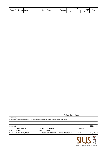| Rank FP |  | <b>Bib No Name</b> | <b>Nat</b> |      | <b>Position</b> | <b>Series</b> | Sub | <b>Total</b> |              |  |
|---------|--|--------------------|------------|------|-----------------|---------------|-----|--------------|--------------|--|
|         |  |                    |            | Γeam |                 |               |     |              | <b>Total</b> |  |

Protest Date / Time:

**OFFICIAL ISSF RESULTS PROVIDER**

| Legend                       |                                     |                      |                                           |    |                     | BE2A4D65    |
|------------------------------|-------------------------------------|----------------------|-------------------------------------------|----|---------------------|-------------|
| <b>Nat</b>                   | <b>Team Member</b><br><b>Nation</b> | <b>Bib No</b><br>Rem | <b>Bib Number</b><br><b>Remarks</b>       | FP | <b>Firing Point</b> |             |
| Version of 2 JUN 2016, 12:32 |                                     |                      | I100000IA0206160930.1.300FR3X40.0.001.pdf |    | <b>B54F</b>         | Page 2 of 2 |
|                              |                                     |                      |                                           |    |                     |             |

Number of athletes on this list: 13; Total number of athletes: 13; Total number of teams: 2

**Summary**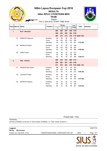#### **300m RIFLE 3 POSITIONS MEN RESULTS**

#### **TEAM**



THU 2 JUN 2016, START TIME 09:30

ानने

|                | <b>Rankl Bib No IName</b>     |                          | <b>Position</b> | <b>Series</b> |                |     | Sub            | <b>Total</b> | <b>Remarks</b>     |  |
|----------------|-------------------------------|--------------------------|-----------------|---------------|----------------|-----|----------------|--------------|--------------------|--|
|                |                               |                          |                 | 1             | $\overline{c}$ | 3   | $\overline{4}$ | Total        |                    |  |
| 1              |                               | <b>SLO - Slovenia</b>    |                 | 289           | 288            | 287 |                | 289 1153     |                    |  |
|                |                               |                          |                 | 296           | 294            | 298 |                | 294 1182     |                    |  |
|                |                               |                          |                 | 285           | 278            | 274 |                |              | 278 1115 3450-116x |  |
|                | 121                           | DEBEVEC Rajmond          | Kneeling        | 99            | 99             | 98  | 99             | 395          |                    |  |
|                |                               |                          | Prone           | 99            | 100            | 100 | 100            | 399          |                    |  |
|                |                               |                          | Standing        | 98            | 95             | 93  | 95             | 381          | 1175-49x           |  |
|                | 124                           | <b>MARKOJA Robert</b>    | Kneeling        | 96            | 97             | 96  | 97             | 386          |                    |  |
|                |                               |                          | Prone           | 99            | 100            | 100 | 98             | 397          |                    |  |
|                |                               |                          | Standing        | 95            | 93             | 88  | 90             | 366          | 1149-40x           |  |
|                | 125                           | ZIŠKO Dušan              | Kneeling        | 94            | 92             | 93  | 93             | 372          |                    |  |
|                |                               |                          | Prone           | 98            | 94             | 98  | 96             | 386          |                    |  |
|                |                               |                          | Standing        | 92            | 90             | 93  | 93             | 368          | 1126-27x           |  |
| $\overline{2}$ |                               | <b>POL - Poland</b>      |                 | 288           | 279            | 278 |                | 286 1131     |                    |  |
|                |                               |                          |                 | 290           | 290            | 291 |                | 293 1164     |                    |  |
|                |                               |                          |                 | 271           | 279            | 283 |                |              | 270 1103 3398-87x  |  |
|                | 117                           | <b>KRASKOVSKI Robert</b> | Kneeling        | 96            | 96             | 97  | 94             | 383          |                    |  |
|                |                               |                          | Prone           | 98            | 100            | 97  | 99             | 394          |                    |  |
|                |                               |                          | Standing        | 91            | 95             | 97  | 89             | 372          | 1149-36x           |  |
|                | 118                           | <b>LUKASZYK Rafal</b>    | Kneeling        | 98            | 90             | 89  | 95             | 372          |                    |  |
|                |                               |                          | Prone           | 97            | 94             | 97  | 97             | 385          |                    |  |
|                |                               |                          | Standing        | 94            | 93             | 90  | 93             | 370          | 1127-29x           |  |
|                | <b>SKORUPA Bartosz</b><br>120 |                          | Kneeling        | 94            | 93             | 92  | 97             | 376          |                    |  |
|                |                               |                          | Prone           | 95            | 96             | 97  | 97             | 385          |                    |  |
|                |                               |                          | Standing        | 86            | 91             | 96  | 88             | 361          | 1122-22x           |  |

Protest Date / Time:

**Summary** Number of athletes on this list: 6; Total number of athletes: 13; Total number of teams: 2

| Legend<br><b>Bib No</b><br><b>Bib Number</b> |                                           |             | 22EE7F3A       |
|----------------------------------------------|-------------------------------------------|-------------|----------------|
| Version of 2 JUN 2016, 12:32                 | I100000TA0206160930.1.300FR3X40.0.001.pdf | <b>B54F</b> | Page 1 of 1    |
|                                              |                                           |             | $\blacksquare$ |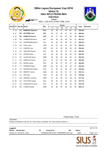#### **300m RIFLE PRONE MEN RESULTS**

**Individual**



WED 1 JUN 2016, START TIME 15:45 Zagreb

ानने

| Rankl        | <b>FP</b> | <b>Bib No Name</b> |                          | <b>Nat</b> | <b>Series</b> |                |     |     |     |    | <b>Total</b> | <b>Remarks</b> |
|--------------|-----------|--------------------|--------------------------|------------|---------------|----------------|-----|-----|-----|----|--------------|----------------|
|              |           |                    |                          |            | $\mathbf{1}$  | $\overline{2}$ | 3   | 4   | 5   | 6  |              |                |
|              | 1 19      | 121                | <b>DEBEVEC Rajmond</b>   | <b>SLO</b> | 98            | 99             | 97  | 98  | 100 | 98 | 590-30x      |                |
|              | 2 27      | 106                | <b>RUTONEN Juha</b>      | <b>FIN</b> | 99            | 97             | 99  | 97  | 98  | 98 | 588-24x      |                |
| $\mathbf{3}$ | 18        | 102                | <b>RUMPLER Gernot</b>    | <b>AUT</b> | 98            | 97             | 100 | 97  | 98  | 98 | 588-21x      |                |
|              | 4 26      | 128                | <b>HOMBERGER Rene</b>    | <b>SUI</b> | 100           | 98             | 98  | 98  | 96  | 97 | 587-21x      |                |
| 5            | 15        | 126                | <b>ACKERMANN Marcel</b>  | SUI        | 99            | 98             | 99  | 96  | 97  | 97 | 586-14x      |                |
|              | 6 22      | 103                | <b>KUNA Josip</b>        | <b>CRO</b> | 99            | 97             | 99  | 97  | 99  | 94 | 585-21x      |                |
|              | 7 13      | 110                | EISERICH Jan             | <b>GER</b> | 100           | 92             | 98  | 98  | 98  | 98 | 584-23x      |                |
|              | 8 12      | 127                | <b>GREUTER Sandro</b>    | <b>SUI</b> | 98            | 98             | 96  | 97  | 97  | 98 | 584-23x      |                |
| 9            | 16        | 101                | <b>GSTINIG Klaus</b>     | AUT        | 99            | 96             | 98  | 99  | 95  | 97 | 584-19x      |                |
|              | 10 14     | 107                | ALDHOUSE Simon           | <b>GBR</b> | 96            | 98             | 98  | 99  | 96  | 97 | 584-18x      |                |
| 11           | 11        | 124                | <b>MARKOJA Robert</b>    | <b>SLO</b> | 99            | 95             | 94  | 100 | 98  | 96 | 582-22x      |                |
|              | 12 30     | 116                | <b>BURDA Andrej</b>      | <b>POL</b> | 98            | 96             | 97  | 96  | 97  | 98 | 582-20x      |                |
| 13           | 20        | 111                | <b>HUMMLER Marco</b>     | <b>GER</b> | 100           | 96             | 98  | 96  | 95  | 97 | 582-19x      |                |
|              | 14 25     | 117                | <b>KRASKOVSKI Robert</b> | <b>POL</b> | 97            | 96             | 97  | 98  | 95  | 96 | 579-20x      |                |
|              | 15 29     | 105                | <b>BRANDT Carsten</b>    | <b>DEN</b> | 96            | 94             | 99  | 97  | 97  | 96 | 579-17x      |                |
|              | 16 23     | 112                | SIDI Peter               | <b>HUN</b> | 97            | 98             | 98  | 92  | 98  | 95 | 578-22x      |                |
|              | 17 17     | 109                | <b>DRESSEL Christian</b> | <b>GER</b> | 97            | 95             | 99  | 95  | 98  | 93 | 577-14x      |                |
|              | 18 28     | 123                | <b>GOTOVINA Gregor</b>   | <b>SLO</b> | 96            | 99             | 94  | 92  | 95  | 96 | 572-17x      |                |
| 19           | 21        | 119                | ROMANCZYK Daniel         | <b>POL</b> | 97            | 96             | 93  | 98  | 94  | 94 | $572 - 13x$  |                |
| 20           | 24        | 108                | <b>FOWKE Richard</b>     | <b>GBR</b> | 92            | 86             | 96  | 94  | 96  | 96 | 560-11x      |                |

Protest Date / Time:

**Summary** Number of athletes on this list: 20; Total number of athletes: 20; Total number of teams: 4

| Legend                             |    |                                           |            |               | <b>DA7C711E</b> |
|------------------------------------|----|-------------------------------------------|------------|---------------|-----------------|
| <b>Bib No</b><br><b>Bib Number</b> | FP | <b>Firing Point</b>                       | <b>Nat</b> | <b>Nation</b> |                 |
| Version of 1 JUN 2016, 16:55       |    | I100000IA0106161545.1.300FR60PR.0.001.pdf |            | <b>B54F</b>   | Page 1 of 1     |
|                                    |    |                                           |            |               |                 |

**OFFICIAL ISSF RESULTS PROVIDER**

 $\mathbb{C}$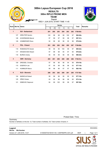#### **300m RIFLE PRONE MEN RESULTS**

#### **TEAM**



WED 1 JUN 2016, START TIME 11:45 Zagreb

अर्क

| Rank           | <b>Bib No Name</b> |                          |     |                | <b>Series</b>  |                |     |     | <b>Total</b> | <b>Remarks</b> |
|----------------|--------------------|--------------------------|-----|----------------|----------------|----------------|-----|-----|--------------|----------------|
|                |                    |                          | 1   | $\overline{c}$ | $\overline{3}$ | $\overline{4}$ | 5   | 6   |              |                |
| $\mathbf{1}$   |                    | <b>SUI - Switzerland</b> | 291 | 295            | 293            | 294            | 293 | 292 | 1758-65x     |                |
|                | 127                | <b>GREUTER Sandro</b>    | 100 | 98             | 98             | 99             | 100 | 97  | 592-20x      |                |
|                | 126                | <b>ACKERMANN Marcel</b>  | 97  | 99             | 97             | 99             | 98  | 97  | 587-21x      |                |
|                | 128                | <b>HOMBERGER Rene</b>    | 94  | 98             | 98             | 96             | 95  | 98  | 579-24x      |                |
| $\overline{2}$ |                    | <b>POL - Poland</b>      | 291 | 292            | 292            | 292            | 295 | 287 | 1749-69x     |                |
|                | 119                | ROMANCZYK Daniel         | 99  | 95             | 95             | 100            | 99  | 97  | 585-22x      |                |
|                | 117                | <b>KRASKOVSKI Robert</b> | 97  | 98             | 98             | 94             | 97  | 94  | 578-22x      |                |
|                | 116                | <b>BURDA Andrej</b>      | 95  | 99             | 99             | 98             | 99  | 96  | 586-25x      |                |
| $\mathbf 3$    |                    | <b>GER</b> - Germany     | 293 | 291            | 290            | 289            | 289 | 286 | 1738-51x     |                |
|                | 109                | <b>DRESSEL Christian</b> | 97  | 98             | 96             | 96             | 94  | 98  | 579-18x      |                |
|                | 110                | EISERICH Jan             | 97  | 95             | 98             | 96             | 98  | 93  | 577-15x      |                |
|                | 111                | <b>HUMMLER Marco</b>     | 99  | 98             | 96             | 97             | 97  | 95  | 582-18x      |                |
| $\overline{4}$ |                    | <b>SLO - Slovenia</b>    | 286 | 293            | 292            | 290            | 291 | 285 | 1737-56x     |                |
|                | 124                | <b>MARKOJA Robert</b>    | 99  | 99             | 96             | 95             | 95  | 93  | 577-16x      |                |
|                | 125                | ZIŠKO Dušan              | 93  | 95             | 96             | 96             | 98  | 95  | 573-14x      |                |
|                | 121                | DEBEVEC Rajmond          | 94  | 99             | 100            | 99             | 98  | 97  | 587-26x      |                |

Protest Date / Time:

**Summary** Number of athletes on this list: 12; Total number of athletes: 35; Total number of teams: 4

| Legend<br><b>Bib No</b><br><b>Bib Number</b><br>E100000TA0106161145.1.300FR60PR.0.001.pdf<br>Version of 1 JUN 2016, 14:47<br><b>B54F</b> |  | and the state of the state of the |             |
|------------------------------------------------------------------------------------------------------------------------------------------|--|-----------------------------------|-------------|
|                                                                                                                                          |  |                                   | Page 1 of 1 |
|                                                                                                                                          |  |                                   | EE40485A    |

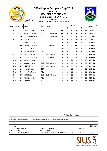#### **Elimination - RELAY 1 of 2 300m RIFLE PRONE MEN RESULTS**



WED 1 JUN 2016, START TIME 11:45 Zagreb

| Rankl           | <b>FP</b> | <b>Bib No Name</b> |                          | <b>Nat</b> | Team                 |              |                | <b>Series</b> |                |     |    | <b>Total</b> | <b>Re</b> |
|-----------------|-----------|--------------------|--------------------------|------------|----------------------|--------------|----------------|---------------|----------------|-----|----|--------------|-----------|
|                 |           |                    |                          |            |                      | $\mathbf{1}$ | $\overline{2}$ | 3             | $\overline{4}$ | 5   | 6  |              | m         |
|                 | 127       | 102                | <b>RUMPLER Gernot</b>    | <b>AUT</b> |                      | 100          | 99             | 98            | 98             | 98  | 99 | 592-28x      |           |
|                 | 2 2 1     | 127                | <b>GREUTER Sandro</b>    | SUI        | SUI - Switzerland    | 100          | 98             | 98            | 99             | 100 | 97 | 592-20x      |           |
| 3               | 15        | 126                | <b>ACKERMANN Marcel</b>  | SUI        | SUI - Switzerland    | 97           | 99             | 97            | 99             | 98  | 97 | 587-21x      |           |
| 4               | 18        | 103                | <b>KUNA Josip</b>        | <b>CRO</b> |                      | 97           | 98             | 97            | 99             | 98  | 97 | 586-23x      |           |
| 5               | 28        | 107                | <b>ALDHOUSE Simon</b>    | <b>GBR</b> |                      | 99           | 98             | 99            | 100            | 95  | 95 | 586-20x      |           |
| 6               | 29        | 119                | ROMANCZYK Daniel         | <b>POL</b> | POL - Poland         | 99           | 95             | 95            | 100            | 99  | 97 | 585-22x      |           |
|                 | 7 22      | 105                | <b>BRANDT Carsten</b>    | <b>DEN</b> |                      | 99           | 97             | 97            | 96             | 99  | 96 | 584-20x      |           |
| 8               | 16        | 106                | <b>RUTONEN Juha</b>      | <b>FIN</b> |                      | 96           | 96             | 96            | 98             | 98  | 98 | 582-24x      |           |
| 9               | 19        | 109                | <b>DRESSEL Christian</b> | <b>GER</b> | <b>GER</b> - Germany | 97           | 98             | 96            | 96             | 94  | 98 | 579-18x      |           |
| 10 <sup>°</sup> | 17        | 117                | <b>KRASKOVSKI Robert</b> | POL        | POL - Poland         | 97           | 98             | 98            | 94             | 97  | 94 | 578-22x      |           |
| 11              | 23        | 123                | <b>GOTOVINA Gregor</b>   | <b>SLO</b> |                      | 98           | 95             | 94            | 96             | 97  | 97 | 577-16x      |           |
| 12              | 20        | 124                | MARKOJA Robert           | <b>SLO</b> | SLO - Slovenia       | 99           | 99             | 96            | 95             | 95  | 93 | 577-16x      |           |
| 13              | 30        | 110                | EISERICH Jan             | <b>GER</b> | <b>GER</b> - Germany | 97           | 95             | 98            | 96             | 98  | 93 | 577-15x      |           |
|                 | 14 25     | 108                | <b>FOWKE Richard</b>     | <b>GBR</b> |                      | 95           | 94             | 96            | 97             | 96  | 96 | 574-12x      |           |
| 15              | 26        | 120                | <b>SKORUPA Bartosz</b>   | POL        |                      | 97           | 98             | 98            | 95             | 90  | 95 | 573-19x      |           |
| 16              | 14        | 125                | ZIŠKO Dušan              | <b>SLO</b> | SLO - Slovenia       | 93           | 95             | 96            | 96             | 98  | 95 | $573 - 14x$  |           |
| 17              | 13        | 118                | <b>LUKASZYK Rafal</b>    | POL        |                      | 92           | 96             | 94            | 92             | 95  | 96 | 565-13x      |           |
| 18              | 24        | 114                | <b>IMONDI Armando</b>    | <b>ITA</b> |                      | 94           | 97             | 95            | 91             | 91  | 76 | 544-10x      |           |

Protest Date / Time:

**Summary** 

Number of athletes on this list: 18; Total number of athletes: 35; Total number of teams: 4

| Legend                          |                                     |                      |                                           |    |                     |  |             |  |
|---------------------------------|-------------------------------------|----------------------|-------------------------------------------|----|---------------------|--|-------------|--|
| $\hspace{0.05cm}$<br><b>Nat</b> | <b>Team Member</b><br><b>Nation</b> | <b>Bib No</b><br>Rem | <b>Bib Number</b><br><b>Remarks</b>       | FP | <b>Firing Point</b> |  |             |  |
|                                 | Version of 1 JUN 2016, 13:35        |                      | E101000IA0106161145.1.300FR60PR.0.001.pdf |    | <b>B54F</b>         |  | Page 1 of 1 |  |
|                                 |                                     |                      |                                           |    |                     |  |             |  |

**OFFICIAL ISSF RESULTS PROVIDER**

**JI**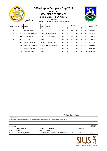#### **Elimination - RELAY 2 of 2 300m RIFLE PRONE MEN RESULTS**



Zagreb

ÎМ

| Rankl | <b>FP</b> | <b>Bib No Name</b> |                        | <b>Nat</b> | <b>Team</b>          |    |    | <b>Series</b> |    |    |    | Total       | <b>Re</b> |
|-------|-----------|--------------------|------------------------|------------|----------------------|----|----|---------------|----|----|----|-------------|-----------|
|       |           |                    |                        |            |                      |    |    | 3             | 4  | 5  | 6  |             | m         |
|       | $1 \t13$  | 101                | <b>GSTINIG Klaus</b>   | <b>AUT</b> |                      | 98 | 99 | 99            | 98 | 99 | 98 | 591-27x     |           |
|       | 2 17      | 121                | <b>DEBEVEC Rajmond</b> | <b>SLO</b> | SLO - Slovenia       | 94 | 99 | 100           | 99 | 98 | 97 | 587-26x     |           |
|       | $3 \t12$  | 116                | <b>BURDA Andrei</b>    | <b>POL</b> | POL - Poland         | 95 | 99 | 99            | 98 | 99 | 96 | 586-25x     |           |
| 4     | 16        | 112                | SIDI Peter             | <b>HUN</b> |                      | 98 | 98 | 96            | 96 | 98 | 98 | 584-23x     |           |
| 5     | 15        | 111                | HUMMI FR Marco         | <b>GER</b> | <b>GER</b> - Germany | 99 | 98 | 96            | 97 | 97 | 95 | 582-18x     |           |
| 6     | 14        | 128                | <b>HOMBERGER Rene</b>  | <b>SUI</b> | SUI - Switzerland    | 94 | 98 | 98            | 96 | 95 | 98 | 579-24x     |           |
|       | 7 19      | 122                | <b>FRECE Venceslav</b> | <b>SLO</b> |                      | 95 | 93 | 98            | 93 | 97 | 97 | $573 - 11x$ |           |
| 8     | 18        | 104                | SINKOVIĆ Danko         | <b>CRO</b> |                      | 92 | 95 | 96            | 94 | 96 | 91 | 564-10x     |           |

Protest Date / Time:

**Summary** 

Number of athletes on this list: 8; Total number of athletes: 35; Total number of teams: 4

| Legend                                 |                                     |                      | 6771C754                                  |    |                     |                                                 |
|----------------------------------------|-------------------------------------|----------------------|-------------------------------------------|----|---------------------|-------------------------------------------------|
| $\overline{\phantom{a}}$<br><b>Nat</b> | <b>Team Member</b><br><b>Nation</b> | <b>Bib No</b><br>Rem | <b>Bib Number</b><br><b>Remarks</b>       | FP | <b>Firing Point</b> |                                                 |
|                                        | Version of 1 JUN 2016, 14:46        |                      | E102000IA0106161345.1.300FR60PR.0.001.pdf |    | <b>B54F</b>         | Page 1 of 1                                     |
|                                        |                                     |                      |                                           |    |                     | $\overline{a}$ in $\overline{a}$ $\overline{a}$ |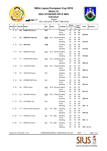#### **300m STANDARD RIFLE MEN RESULTS**

**Individual**



Zagreb

FRI 3 JUN 2016, START TIME 09:30

**Arri** 

|      |           |                    |                             |            |                       |                 | <b>Series</b> |                | Sub          |              |                |
|------|-----------|--------------------|-----------------------------|------------|-----------------------|-----------------|---------------|----------------|--------------|--------------|----------------|
| Rank | <b>FP</b> | <b>Bib No Name</b> |                             | <b>Nat</b> | Team                  | <b>Position</b> | $\mathbf{1}$  | $\overline{2}$ | <b>Total</b> | <b>Total</b> | <b>Remarks</b> |
|      | 1 19      | 102                | <b>RUMPLER Gernot</b>       | <b>AUT</b> |                       | Kneeling        | 99            | 97             | 196          |              |                |
|      |           |                    |                             |            |                       | Prone           | 97            | 98             | 195          |              |                |
|      |           |                    |                             |            |                       | Standing        | 95            | 99             | 194          | 585-25x      |                |
|      | 2 2 1     | 121                | <b>DEBEVEC Rajmond</b>      | <b>SLO</b> | SLO - Sloven Kneeling |                 | 97            | 95             | 192          |              |                |
|      |           |                    |                             |            |                       | Prone           | 100           | 96             | 196          |              |                |
|      |           |                    |                             |            |                       | Standing        | 95            | 95             | 190          | 578-14x      |                |
|      | 3, 16     | 112                | <b>SIDI Peter</b>           | <b>HUN</b> |                       | Kneeling        | 96            | 96             | 192          |              |                |
|      |           |                    |                             |            |                       | Prone           | 93            | 99             | 192          |              |                |
|      |           |                    |                             |            |                       | Standing        | 93            | 98             | 191          | 575-19x      |                |
|      |           |                    |                             |            |                       |                 |               |                |              |              |                |
|      | 4 17      | 124                | <b>MARKOJA Robert</b>       | <b>SLO</b> | SLO - Sloven Kneeling |                 | 95            | 97             | 192          |              |                |
|      |           |                    |                             |            |                       | Prone           | 99            | 99             | 198          |              |                |
|      |           |                    |                             |            |                       | Standing        | 90            | 94             | 184          | 574-20x      |                |
|      | 5 27      | 117                | <b>KRASKOVSKI Robert</b>    | <b>POL</b> | POL - Poland Kneeling |                 | 94            | 93             | 187          |              |                |
|      |           |                    |                             |            |                       | Prone           | 96            | 96             | 192          |              |                |
|      |           |                    |                             |            |                       | Standing        | 91            | 98             | 189          | 568-15x      |                |
|      | 6 20      | 118                | <b>LUKASZYK Rafal</b>       | <b>POL</b> | POL - Poland Kneeling |                 | 98            | 93             | 191          |              |                |
|      |           |                    |                             |            |                       | Prone           | 96            | 97             | 193          |              |                |
|      |           |                    |                             |            |                       | Standing        | 89            | 93             | 182          | 566-13x      |                |
|      | 7 25      | 127                | <b>GREUTER Sandro</b>       | SUI        |                       | Kneeling        | 95            | 92             | 187          |              |                |
|      |           |                    |                             |            |                       | Prone           | 97            | 96             | 193          |              |                |
|      |           |                    |                             |            |                       | Standing        | 91            | 92             | 183          | 563-12x      |                |
|      |           |                    |                             |            |                       |                 |               |                |              |              |                |
|      | 8 14      | 128                | <b>HOMBERGER Rene</b>       | SUI        |                       | Kneeling        | 95            | 93             | 188          |              |                |
|      |           |                    |                             |            |                       | Prone           | 98            | 96             | 194          |              |                |
|      |           |                    |                             |            |                       | Standing        | 90            | 90             | 180          | 562-14x      |                |
|      | 9 23      | 125                | ZIŠKO Dušan                 | <b>SLO</b> | SLO - Sloven Kneeling |                 | 95            | 92             | 187          |              |                |
|      |           |                    |                             |            |                       | Prone           | 98            | 98             | 196          |              |                |
|      |           |                    |                             |            |                       | Standing        | 90            | 88             | 178          | $561 - 13x$  |                |
|      | 10 18     | 120                | <b>SKORUPA Bartosz</b>      | <b>POL</b> | POL - Poland Kneeling |                 | 96            | 96             | 192          |              |                |
|      |           |                    |                             |            |                       | Prone           | 97            | 95             | 192          |              |                |
|      |           |                    |                             |            |                       | Standing        | 84            | 90             | 174          | 558-15x      |                |
|      | 11 15     | 106                | <b>RUTONEN Juha</b>         | <b>FIN</b> |                       | Kneeling        | 87            | 92             | 179          |              |                |
|      |           |                    |                             |            |                       | Prone           | 97            | 98             | 195          |              |                |
|      |           |                    |                             |            |                       | Standing        | 90            | 88             | 178          | 552- 7x      |                |
|      |           |                    |                             |            |                       | Kneeling        |               |                | 179          |              |                |
|      | 12 22     | 113                | <b>BOCCALARI Ferdinando</b> | <u>ITA</u> | ITA - Italia          | Prone           | 91<br>95      | 88<br>95       | 190          |              |                |
|      |           |                    |                             |            |                       | Standing        | 84            | 86             | 170          | 539-10x      |                |
|      |           |                    |                             |            |                       |                 |               |                |              |              |                |
|      | 13 24     | 115                | PRODAN Lorenzo              | <b>ITA</b> | ITA - Italia          | Kneeling        | 89            | 88             | 177          |              |                |
|      |           |                    |                             |            |                       | Prone           | 92            | 93             | 185          |              |                |
|      |           |                    |                             |            |                       | Standing        | 85            | 83             | 168          | 530- 7x      |                |
|      | 14 26     | 114                | <b>IMONDI Armando</b>       | <u>ITA</u> | ITA - Italia          | Kneeling        | 88            | 79             | 167          |              |                |
|      |           |                    |                             |            |                       | Prone           | 79            | 91             | 170          |              |                |
|      |           |                    |                             |            |                       | Standing        | 80            | 59             | 139          | 476- 3x A 2  |                |
|      |           |                    |                             |            |                       |                 |               |                |              |              |                |

Version of 3 JUN 2016, 11:32 I100000IA0306160930.1.300STR3X20.0.001.pdf B54F 1 Page 1 of 2

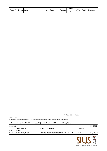|  | l Rankl FP I Bib No IName | <b>Nat</b> |      | <b>Position</b> | Series | Sub                            | <b>Total</b> | <b>Remarks</b> |
|--|---------------------------|------------|------|-----------------|--------|--------------------------------|--------------|----------------|
|  |                           |            | Team |                 |        | $\overline{\mathcal{D}}$ Total |              |                |

Protest Date / Time:

| Summary              | Number of athletes on this list: 14; Total number of athletes: 14; Total number of teams: 3 |               |                                            |           |                     |             |
|----------------------|---------------------------------------------------------------------------------------------|---------------|--------------------------------------------|-----------|---------------------|-------------|
| A <sub>2</sub>       | Athlete 114 IMONDI Armando (ITA) - ISSF Rule 6.11.8.3 Cross shot in sighters                |               |                                            |           |                     |             |
| Legend<br><b>Nat</b> | <b>Team Member</b><br><b>Nation</b>                                                         | <b>Bib No</b> | <b>Bib Number</b>                          | <b>FP</b> | <b>Firing Point</b> | 4D67E7CD    |
|                      | Version of 3 JUN 2016, 11:32                                                                |               | I100000IA0306160930.1.300STR3X20.0.001.pdf |           | <b>B54F</b>         | Page 2 of 2 |
|                      |                                                                                             |               |                                            |           |                     |             |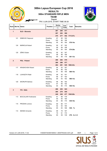#### **300m STANDARD RIFLE MEN RESULTS**

#### **TEAM**



Zagreb

FRI 3 JUN 2016, START TIME 09:30

| Rank           | <b>Bib No   Name</b> |                             | <b>Position</b>   | <b>Series</b> |                | Sub        | <b>Total</b> | <b>Remarks</b> |
|----------------|----------------------|-----------------------------|-------------------|---------------|----------------|------------|--------------|----------------|
|                |                      |                             |                   | 1             | $\overline{2}$ | Total      |              |                |
| $\mathbf{1}$   |                      | <b>SLO - Slovenia</b>       |                   | 287           | 284            | 571        |              |                |
|                |                      |                             |                   | 297           | 293            | 590        |              |                |
|                |                      |                             |                   | 275           | 277            |            | 552 1713-47x |                |
|                | 121                  | DEBEVEC Rajmond             | Kneeling          | 97            | 95             | 192        |              |                |
|                |                      |                             | Prone             | 100           | 96             | 196        |              |                |
|                |                      |                             | Standing          | 95            | 95             | 190        | 578-14x      |                |
|                | 124                  | <b>MARKOJA Robert</b>       | Kneeling          | 95            | 97             | 192        |              |                |
|                |                      |                             | Prone             | 99<br>90      | 99<br>94       | 198<br>184 | 574-20x      |                |
|                |                      |                             | Standing          |               |                |            |              |                |
|                | 125                  | ZIŠKO Dušan                 | Kneeling          | 95            | 92             | 187        |              |                |
|                |                      |                             | Prone<br>Standing | 98<br>90      | 98<br>88       | 196<br>178 | $561 - 13x$  |                |
|                |                      |                             |                   |               |                |            |              |                |
| $\overline{2}$ |                      | <b>POL - Poland</b>         |                   | 288           | 282            | 570        |              |                |
|                |                      |                             |                   | 289           | 288            | 577        |              |                |
|                |                      |                             |                   | 264           | 281            | 545        | 1692-43x     |                |
|                | 117                  | <b>KRASKOVSKI Robert</b>    | Kneeling          | 94            | 93             | 187        |              |                |
|                |                      |                             | Prone<br>Standing | 96<br>91      | 96<br>98       | 192<br>189 | 568-15x      |                |
|                |                      |                             |                   |               |                |            |              |                |
|                | 118                  | <b>LUKASZYK Rafal</b>       | Kneeling<br>Prone | 98<br>96      | 93<br>97       | 191<br>193 |              |                |
|                |                      |                             | Standing          | 89            | 93             | 182        | 566-13x      |                |
|                | 120                  | <b>SKORUPA Bartosz</b>      | Kneeling          | 96            | 96             | 192        |              |                |
|                |                      |                             | Prone             | 97            | 95             | 192        |              |                |
|                |                      |                             | Standing          | 84            | 90             | 174        | 558-15x      |                |
|                |                      |                             |                   | 268           | 255            | 523        |              |                |
| 3              |                      | <b>ITA - Italia</b>         |                   | 266           | 279            | 545        |              |                |
|                |                      |                             |                   | 249           | 228            | 477        | 1545-20x     |                |
|                | 113                  | <b>BOCCALARI Ferdinando</b> | Kneeling          | 91            | 88             | 179        |              |                |
|                |                      |                             | Prone             | 95            | 95             | 190        |              |                |
|                |                      |                             | Standing          | 84            | 86             | 170        | 539-10x      |                |
|                | 115                  | PRODAN Lorenzo              | Kneeling          | 89            | 88             | 177        |              |                |
|                |                      |                             | Prone             | 92            | 93             | 185        |              |                |
|                |                      |                             | Standing          | 85            | 83             | 168        | 530- 7x      |                |
|                | 114                  | <b>IMONDI Armando</b>       | Kneeling          | 88            | 79             | 167        |              |                |
|                |                      |                             | Prone             | 79            | 91             | 170        |              |                |
|                |                      |                             | Standing          | 80            | 59             | 139        | 476-3x A 2   |                |

Version of 3 JUN 2016, 11:32 I100000TA0306160930.1.300STR3X20.0.001.pdf B54F 1 Page 1 of 2

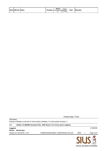|  |  | Rank Bib No Name | <b>Position</b> | <b>Series</b> | Sub               | <b>Total</b> | <b>Remarks</b> |
|--|--|------------------|-----------------|---------------|-------------------|--------------|----------------|
|  |  |                  |                 |               | <b>Total</b><br>- |              |                |

Protest Date / Time:

| Number of athletes on this list: 9; Total number of athletes: 14; Total number of teams: 3 |                              |                                                                              |             |  |             |  |  |  |  |  |
|--------------------------------------------------------------------------------------------|------------------------------|------------------------------------------------------------------------------|-------------|--|-------------|--|--|--|--|--|
| A <sub>2</sub>                                                                             |                              | Athlete 114 IMONDI Armando (ITA) - ISSF Rule 6.11.8.3 Cross shot in sighters |             |  |             |  |  |  |  |  |
| Legend<br><b>Bib No</b>                                                                    | <b>Bib Number</b>            |                                                                              |             |  | C188455E    |  |  |  |  |  |
|                                                                                            | Version of 3 JUN 2016, 11:32 | I100000TA0306160930.1.300STR3X20.0.001.pdf                                   | <b>B54F</b> |  | Page 2 of 2 |  |  |  |  |  |
|                                                                                            |                              |                                                                              |             |  |             |  |  |  |  |  |

**Summary**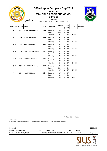**300m Lapua European Cup 2016 RESULTS**

ਾ ਹੈ

## **300m RIFLE 3 POSITIONS WOMEN**

**Individual** Zagreb



THU 2 JUN 2016, START TIME 13:30

|              | Rank FP |     | <b>Bib No Name</b>        | <b>Nat</b> | <b>Position</b> | <b>Series</b> |    | Sub   | <b>Total</b> | <b>Remarks</b> |
|--------------|---------|-----|---------------------------|------------|-----------------|---------------|----|-------|--------------|----------------|
|              |         |     |                           |            |                 |               | 2  | Total |              |                |
| $\mathbf{1}$ | 22      | 207 | <b>BRUHLMANN Andrea</b>   | <b>SUI</b> | Kneeling        | 96            | 99 | 195   |              |                |
|              |         |     |                           |            | Prone           | 100           | 99 | 199   |              |                |
|              |         |     |                           |            | Standing        | 94            | 92 | 186   | 580-17x      |                |
|              | 2 19    | 209 | <b>SCHNIDER Marina</b>    | <b>SUI</b> | Kneeling        | 97            | 95 | 192   |              |                |
|              |         |     |                           |            | Prone           | 98            | 98 | 196   |              |                |
|              |         |     |                           |            | Standing        | 94            | 94 | 188   | 576-18x      |                |
|              | 321     | 206 | <b>ORAŽEM Renata</b>      | <b>SLO</b> | Kneeling        | 96            | 92 | 188   |              |                |
|              |         |     |                           |            | Prone           | 97            | 99 | 196   |              |                |
|              |         |     |                           |            | Standing        | 89            | 96 | 185   | 569-15x      |                |
|              | 4 20    | 202 | KORTSAGINA Ljudmila       | <b>EST</b> | Kneeling        | 91            | 98 | 189   |              |                |
|              |         |     |                           |            | Prone           | 98            | 99 | 197   |              |                |
|              |         |     |                           |            | Standing        | 88            | 90 | 178   | 564-14x      |                |
|              | 5 23    | 203 | <b>VORONOVA Anzela</b>    | <b>EST</b> | Kneeling        | 96            | 96 | 192   |              |                |
|              |         |     |                           |            | Prone           | 97            | 99 | 196   |              |                |
|              |         |     |                           |            | Standing        | 83            | 92 | 175   | 563-15x      |                |
|              | 6 24    | 208 | <b>FUGLISTER Fabienne</b> | SUI        | Kneeling        | 90            | 93 | 183   |              |                |
|              |         |     |                           |            | Prone           | 100           | 96 | 196   |              |                |
|              |         |     |                           |            | Standing        | 97            | 82 | 179   | 558-17x      |                |
|              | 7 18    | 201 | DRAKULIĆ Sanja            | <b>CRO</b> | Kneeling        | 87            | 86 | 173   |              |                |
|              |         |     |                           |            | Prone           | 88            | 94 | 182   |              |                |
|              |         |     |                           |            | Standing        | 85            | 82 | 167   | $522 - 7x$   |                |

Protest Date / Time:

**Summary** Number of athletes on this list: 7; Total number of athletes: 7; Total number of teams: 0

| Legend                             |    |                                          |            |               |   | 59D42E1F    |
|------------------------------------|----|------------------------------------------|------------|---------------|---|-------------|
| <b>Bib No</b><br><b>Bib Number</b> | FP | <b>Firing Point</b>                      | <b>Nat</b> | <b>Nation</b> |   |             |
| Version of 2 JUN 2016, 15:38       |    | I000000IA0206161330.1.300R3X20.0.001.pdf |            | <b>B54F</b>   | 2 | Page 1 of 1 |
|                                    |    |                                          |            |               |   | N,          |